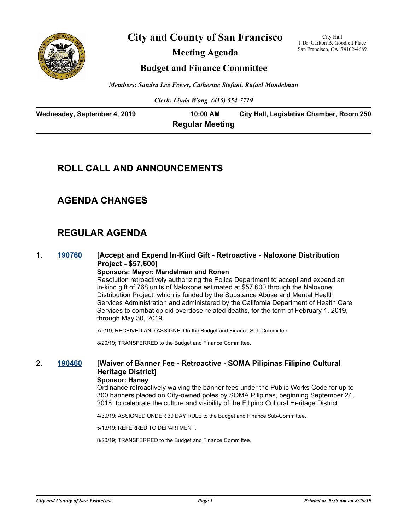

**City and County of San Francisco**

**Meeting Agenda**

City Hall 1 Dr. Carlton B. Goodlett Place San Francisco, CA 94102-4689

## **Budget and Finance Committee**

*Members: Sandra Lee Fewer, Catherine Stefani, Rafael Mandelman*

*Clerk: Linda Wong (415) 554-7719*

| Wednesday, September 4, 2019 | 10:00 AM               | City Hall, Legislative Chamber, Room 250 |
|------------------------------|------------------------|------------------------------------------|
|                              | <b>Regular Meeting</b> |                                          |

## **ROLL CALL AND ANNOUNCEMENTS**

## **AGENDA CHANGES**

## **REGULAR AGENDA**

#### **1. [190760](http://sfgov.legistar.com/gateway.aspx?m=l&id=34882) [Accept and Expend In-Kind Gift - Retroactive - Naloxone Distribution Project - \$57,600]**

#### **Sponsors: Mayor; Mandelman and Ronen**

Resolution retroactively authorizing the Police Department to accept and expend an in-kind gift of 768 units of Naloxone estimated at \$57,600 through the Naloxone Distribution Project, which is funded by the Substance Abuse and Mental Health Services Administration and administered by the California Department of Health Care Services to combat opioid overdose-related deaths, for the term of February 1, 2019, through May 30, 2019.

7/9/19; RECEIVED AND ASSIGNED to the Budget and Finance Sub-Committee.

8/20/19; TRANSFERRED to the Budget and Finance Committee.

## **2. [190460](http://sfgov.legistar.com/gateway.aspx?m=l&id=34582) [Waiver of Banner Fee - Retroactive - SOMA Pilipinas Filipino Cultural Heritage District]**

### **Sponsor: Haney**

Ordinance retroactively waiving the banner fees under the Public Works Code for up to 300 banners placed on City-owned poles by SOMA Pilipinas, beginning September 24, 2018, to celebrate the culture and visibility of the Filipino Cultural Heritage District.

4/30/19; ASSIGNED UNDER 30 DAY RULE to the Budget and Finance Sub-Committee.

5/13/19; REFERRED TO DEPARTMENT.

8/20/19; TRANSFERRED to the Budget and Finance Committee.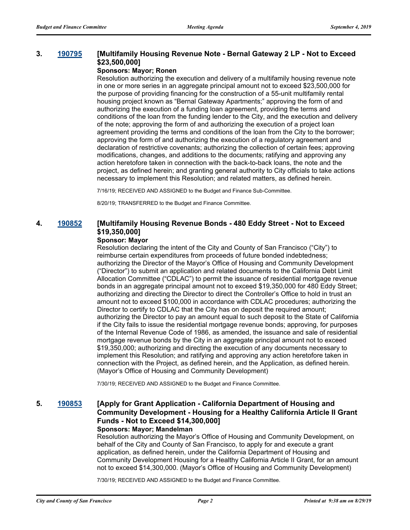#### **3. [190795](http://sfgov.legistar.com/gateway.aspx?m=l&id=34917) [Multifamily Housing Revenue Note - Bernal Gateway 2 LP - Not to Exceed \$23,500,000]**

#### **Sponsors: Mayor; Ronen**

Resolution authorizing the execution and delivery of a multifamily housing revenue note in one or more series in an aggregate principal amount not to exceed \$23,500,000 for the purpose of providing financing for the construction of a 55-unit multifamily rental housing project known as "Bernal Gateway Apartments;" approving the form of and authorizing the execution of a funding loan agreement, providing the terms and conditions of the loan from the funding lender to the City, and the execution and delivery of the note; approving the form of and authorizing the execution of a project loan agreement providing the terms and conditions of the loan from the City to the borrower; approving the form of and authorizing the execution of a regulatory agreement and declaration of restrictive covenants; authorizing the collection of certain fees; approving modifications, changes, and additions to the documents; ratifying and approving any action heretofore taken in connection with the back-to-back loans, the note and the project, as defined herein; and granting general authority to City officials to take actions necessary to implement this Resolution; and related matters, as defined herein.

7/16/19; RECEIVED AND ASSIGNED to the Budget and Finance Sub-Committee.

8/20/19; TRANSFERRED to the Budget and Finance Committee.

## **4. [190852](http://sfgov.legistar.com/gateway.aspx?m=l&id=34974) [Multifamily Housing Revenue Bonds - 480 Eddy Street - Not to Exceed \$19,350,000]**

#### **Sponsor: Mayor**

Resolution declaring the intent of the City and County of San Francisco ("City") to reimburse certain expenditures from proceeds of future bonded indebtedness; authorizing the Director of the Mayor's Office of Housing and Community Development ("Director") to submit an application and related documents to the California Debt Limit Allocation Committee ("CDLAC") to permit the issuance of residential mortgage revenue bonds in an aggregate principal amount not to exceed \$19,350,000 for 480 Eddy Street; authorizing and directing the Director to direct the Controller's Office to hold in trust an amount not to exceed \$100,000 in accordance with CDLAC procedures; authorizing the Director to certify to CDLAC that the City has on deposit the required amount; authorizing the Director to pay an amount equal to such deposit to the State of California if the City fails to issue the residential mortgage revenue bonds; approving, for purposes of the Internal Revenue Code of 1986, as amended, the issuance and sale of residential mortgage revenue bonds by the City in an aggregate principal amount not to exceed \$19,350,000; authorizing and directing the execution of any documents necessary to implement this Resolution; and ratifying and approving any action heretofore taken in connection with the Project, as defined herein, and the Application, as defined herein. (Mayor's Office of Housing and Community Development)

7/30/19; RECEIVED AND ASSIGNED to the Budget and Finance Committee.

## **5. [190853](http://sfgov.legistar.com/gateway.aspx?m=l&id=34975) [Apply for Grant Application - California Department of Housing and Community Development - Housing for a Healthy California Article II Grant Funds - Not to Exceed \$14,300,000]**

#### **Sponsors: Mayor; Mandelman**

Resolution authorizing the Mayor's Office of Housing and Community Development, on behalf of the City and County of San Francisco, to apply for and execute a grant application, as defined herein, under the California Department of Housing and Community Development Housing for a Healthy California Article II Grant, for an amount not to exceed \$14,300,000. (Mayor's Office of Housing and Community Development)

7/30/19; RECEIVED AND ASSIGNED to the Budget and Finance Committee.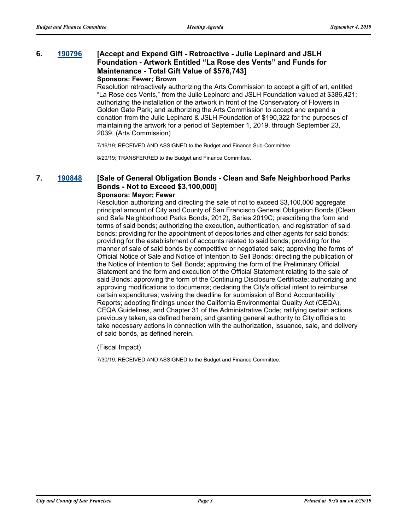#### **6. [190796](http://sfgov.legistar.com/gateway.aspx?m=l&id=34918) [Accept and Expend Gift - Retroactive - Julie Lepinard and JSLH Foundation - Artwork Entitled "La Rose des Vents" and Funds for Maintenance - Total Gift Value of \$576,743] Sponsors: Fewer; Brown**

Resolution retroactively authorizing the Arts Commission to accept a gift of art, entitled "La Rose des Vents," from the Julie Lepinard and JSLH Foundation valued at \$386,421; authorizing the installation of the artwork in front of the Conservatory of Flowers in Golden Gate Park; and authorizing the Arts Commission to accept and expend a donation from the Julie Lepinard & JSLH Foundation of \$190,322 for the purposes of maintaining the artwork for a period of September 1, 2019, through September 23, 2039. (Arts Commission)

7/16/19; RECEIVED AND ASSIGNED to the Budget and Finance Sub-Committee.

8/20/19; TRANSFERRED to the Budget and Finance Committee.

#### **7. [190848](http://sfgov.legistar.com/gateway.aspx?m=l&id=34970) [Sale of General Obligation Bonds - Clean and Safe Neighborhood Parks Bonds - Not to Exceed \$3,100,000] Sponsors: Mayor; Fewer**

Resolution authorizing and directing the sale of not to exceed \$3,100,000 aggregate principal amount of City and County of San Francisco General Obligation Bonds (Clean and Safe Neighborhood Parks Bonds, 2012), Series 2019C; prescribing the form and terms of said bonds; authorizing the execution, authentication, and registration of said bonds; providing for the appointment of depositories and other agents for said bonds; providing for the establishment of accounts related to said bonds; providing for the manner of sale of said bonds by competitive or negotiated sale; approving the forms of Official Notice of Sale and Notice of Intention to Sell Bonds; directing the publication of the Notice of Intention to Sell Bonds; approving the form of the Preliminary Official Statement and the form and execution of the Official Statement relating to the sale of said Bonds; approving the form of the Continuing Disclosure Certificate; authorizing and approving modifications to documents; declaring the City's official intent to reimburse certain expenditures; waiving the deadline for submission of Bond Accountability Reports; adopting findings under the California Environmental Quality Act (CEQA), CEQA Guidelines, and Chapter 31 of the Administrative Code; ratifying certain actions previously taken, as defined herein; and granting general authority to City officials to take necessary actions in connection with the authorization, issuance, sale, and delivery of said bonds, as defined herein.

(Fiscal Impact)

7/30/19; RECEIVED AND ASSIGNED to the Budget and Finance Committee.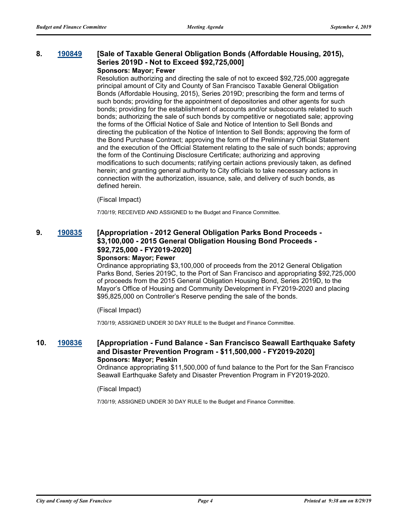#### **8. [190849](http://sfgov.legistar.com/gateway.aspx?m=l&id=34971) [Sale of Taxable General Obligation Bonds (Affordable Housing, 2015), Series 2019D - Not to Exceed \$92,725,000] Sponsors: Mayor; Fewer**

Resolution authorizing and directing the sale of not to exceed \$92,725,000 aggregate principal amount of City and County of San Francisco Taxable General Obligation Bonds (Affordable Housing, 2015), Series 2019D; prescribing the form and terms of such bonds; providing for the appointment of depositories and other agents for such bonds; providing for the establishment of accounts and/or subaccounts related to such bonds; authorizing the sale of such bonds by competitive or negotiated sale; approving the forms of the Official Notice of Sale and Notice of Intention to Sell Bonds and directing the publication of the Notice of Intention to Sell Bonds; approving the form of the Bond Purchase Contract; approving the form of the Preliminary Official Statement and the execution of the Official Statement relating to the sale of such bonds; approving the form of the Continuing Disclosure Certificate; authorizing and approving modifications to such documents; ratifying certain actions previously taken, as defined herein; and granting general authority to City officials to take necessary actions in connection with the authorization, issuance, sale, and delivery of such bonds, as defined herein.

#### (Fiscal Impact)

7/30/19; RECEIVED AND ASSIGNED to the Budget and Finance Committee.

## **9. [190835](http://sfgov.legistar.com/gateway.aspx?m=l&id=34957) [Appropriation - 2012 General Obligation Parks Bond Proceeds - \$3,100,000 - 2015 General Obligation Housing Bond Proceeds - \$92,725,000 - FY2019-2020]**

#### **Sponsors: Mayor; Fewer**

Ordinance appropriating \$3,100,000 of proceeds from the 2012 General Obligation Parks Bond, Series 2019C, to the Port of San Francisco and appropriating \$92,725,000 of proceeds from the 2015 General Obligation Housing Bond, Series 2019D, to the Mayor's Office of Housing and Community Development in FY2019-2020 and placing \$95,825,000 on Controller's Reserve pending the sale of the bonds.

#### (Fiscal Impact)

7/30/19; ASSIGNED UNDER 30 DAY RULE to the Budget and Finance Committee.

#### **10. [190836](http://sfgov.legistar.com/gateway.aspx?m=l&id=34958) [Appropriation - Fund Balance - San Francisco Seawall Earthquake Safety and Disaster Prevention Program - \$11,500,000 - FY2019-2020] Sponsors: Mayor; Peskin**

Ordinance appropriating \$11,500,000 of fund balance to the Port for the San Francisco Seawall Earthquake Safety and Disaster Prevention Program in FY2019-2020.

#### (Fiscal Impact)

7/30/19; ASSIGNED UNDER 30 DAY RULE to the Budget and Finance Committee.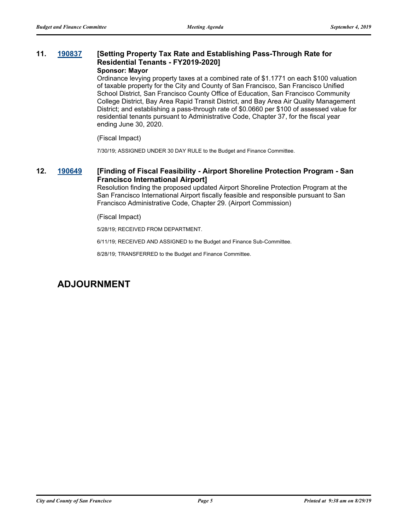#### **11. [190837](http://sfgov.legistar.com/gateway.aspx?m=l&id=34959) [Setting Property Tax Rate and Establishing Pass-Through Rate for Residential Tenants - FY2019-2020] Sponsor: Mayor**

Ordinance levying property taxes at a combined rate of \$1.1771 on each \$100 valuation of taxable property for the City and County of San Francisco, San Francisco Unified School District, San Francisco County Office of Education, San Francisco Community College District, Bay Area Rapid Transit District, and Bay Area Air Quality Management District; and establishing a pass-through rate of \$0.0660 per \$100 of assessed value for residential tenants pursuant to Administrative Code, Chapter 37, for the fiscal year ending June 30, 2020.

(Fiscal Impact)

7/30/19; ASSIGNED UNDER 30 DAY RULE to the Budget and Finance Committee.

#### **12. [190649](http://sfgov.legistar.com/gateway.aspx?m=l&id=34771) [Finding of Fiscal Feasibility - Airport Shoreline Protection Program - San Francisco International Airport]**

Resolution finding the proposed updated Airport Shoreline Protection Program at the San Francisco International Airport fiscally feasible and responsible pursuant to San Francisco Administrative Code, Chapter 29. (Airport Commission)

(Fiscal Impact)

5/28/19; RECEIVED FROM DEPARTMENT.

6/11/19; RECEIVED AND ASSIGNED to the Budget and Finance Sub-Committee.

8/28/19; TRANSFERRED to the Budget and Finance Committee.

## **ADJOURNMENT**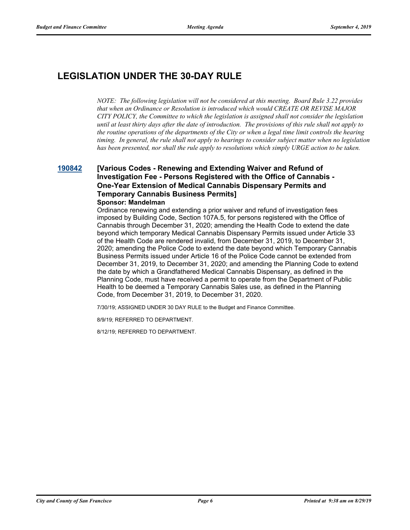# **LEGISLATION UNDER THE 30-DAY RULE**

*NOTE: The following legislation will not be considered at this meeting. Board Rule 3.22 provides that when an Ordinance or Resolution is introduced which would CREATE OR REVISE MAJOR CITY POLICY, the Committee to which the legislation is assigned shall not consider the legislation until at least thirty days after the date of introduction. The provisions of this rule shall not apply to the routine operations of the departments of the City or when a legal time limit controls the hearing timing. In general, the rule shall not apply to hearings to consider subject matter when no legislation has been presented, nor shall the rule apply to resolutions which simply URGE action to be taken.*

## **[190842](http://sfgov.legistar.com/gateway.aspx?m=l&id=34964) [Various Codes - Renewing and Extending Waiver and Refund of Investigation Fee - Persons Registered with the Office of Cannabis - One-Year Extension of Medical Cannabis Dispensary Permits and Temporary Cannabis Business Permits]**

#### **Sponsor: Mandelman**

Ordinance renewing and extending a prior waiver and refund of investigation fees imposed by Building Code, Section 107A.5, for persons registered with the Office of Cannabis through December 31, 2020; amending the Health Code to extend the date beyond which temporary Medical Cannabis Dispensary Permits issued under Article 33 of the Health Code are rendered invalid, from December 31, 2019, to December 31, 2020; amending the Police Code to extend the date beyond which Temporary Cannabis Business Permits issued under Article 16 of the Police Code cannot be extended from December 31, 2019, to December 31, 2020; and amending the Planning Code to extend the date by which a Grandfathered Medical Cannabis Dispensary, as defined in the Planning Code, must have received a permit to operate from the Department of Public Health to be deemed a Temporary Cannabis Sales use, as defined in the Planning Code, from December 31, 2019, to December 31, 2020.

7/30/19; ASSIGNED UNDER 30 DAY RULE to the Budget and Finance Committee.

8/9/19; REFERRED TO DEPARTMENT.

8/12/19; REFERRED TO DEPARTMENT.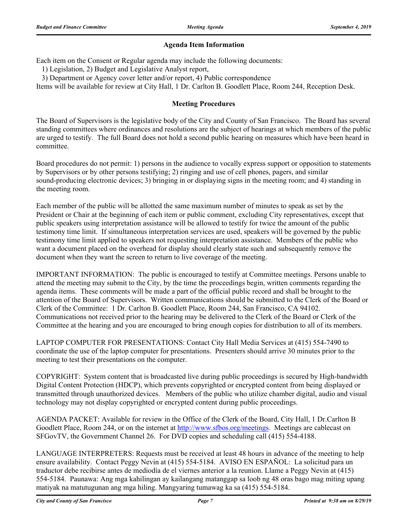#### **Agenda Item Information**

Each item on the Consent or Regular agenda may include the following documents:

1) Legislation, 2) Budget and Legislative Analyst report,

3) Department or Agency cover letter and/or report, 4) Public correspondence

Items will be available for review at City Hall, 1 Dr. Carlton B. Goodlett Place, Room 244, Reception Desk.

#### **Meeting Procedures**

The Board of Supervisors is the legislative body of the City and County of San Francisco. The Board has several standing committees where ordinances and resolutions are the subject of hearings at which members of the public are urged to testify. The full Board does not hold a second public hearing on measures which have been heard in committee.

Board procedures do not permit: 1) persons in the audience to vocally express support or opposition to statements by Supervisors or by other persons testifying; 2) ringing and use of cell phones, pagers, and similar sound-producing electronic devices; 3) bringing in or displaying signs in the meeting room; and 4) standing in the meeting room.

Each member of the public will be allotted the same maximum number of minutes to speak as set by the President or Chair at the beginning of each item or public comment, excluding City representatives, except that public speakers using interpretation assistance will be allowed to testify for twice the amount of the public testimony time limit. If simultaneous interpretation services are used, speakers will be governed by the public testimony time limit applied to speakers not requesting interpretation assistance. Members of the public who want a document placed on the overhead for display should clearly state such and subsequently remove the document when they want the screen to return to live coverage of the meeting.

IMPORTANT INFORMATION: The public is encouraged to testify at Committee meetings. Persons unable to attend the meeting may submit to the City, by the time the proceedings begin, written comments regarding the agenda items. These comments will be made a part of the official public record and shall be brought to the attention of the Board of Supervisors. Written communications should be submitted to the Clerk of the Board or Clerk of the Committee: 1 Dr. Carlton B. Goodlett Place, Room 244, San Francisco, CA 94102. Communications not received prior to the hearing may be delivered to the Clerk of the Board or Clerk of the Committee at the hearing and you are encouraged to bring enough copies for distribution to all of its members.

LAPTOP COMPUTER FOR PRESENTATIONS: Contact City Hall Media Services at (415) 554-7490 to coordinate the use of the laptop computer for presentations. Presenters should arrive 30 minutes prior to the meeting to test their presentations on the computer.

COPYRIGHT: System content that is broadcasted live during public proceedings is secured by High-bandwidth Digital Content Protection (HDCP), which prevents copyrighted or encrypted content from being displayed or transmitted through unauthorized devices. Members of the public who utilize chamber digital, audio and visual technology may not display copyrighted or encrypted content during public proceedings.

AGENDA PACKET: Available for review in the Office of the Clerk of the Board, City Hall, 1 Dr.Carlton B Goodlett Place, Room 244, or on the internet at http://www.sfbos.org/meetings. Meetings are cablecast on SFGovTV, the Government Channel 26. For DVD copies and scheduling call (415) 554-4188.

LANGUAGE INTERPRETERS: Requests must be received at least 48 hours in advance of the meeting to help ensure availability. Contact Peggy Nevin at (415) 554-5184. AVISO EN ESPAÑOL: La solicitud para un traductor debe recibirse antes de mediodía de el viernes anterior a la reunion. Llame a Peggy Nevin at (415) 554-5184. Paunawa: Ang mga kahilingan ay kailangang matanggap sa loob ng 48 oras bago mag miting upang matiyak na matutugunan ang mga hiling. Mangyaring tumawag ka sa (415) 554-5184.